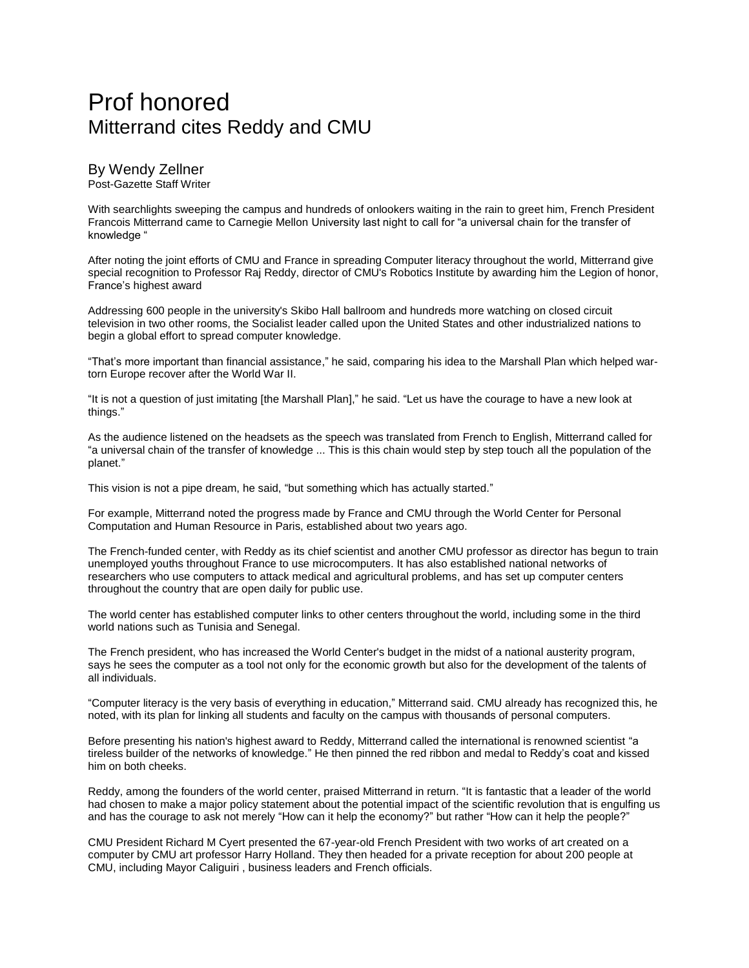## Prof honored Mitterrand cites Reddy and CMU

By Wendy Zellner Post-Gazette Staff Writer

With searchlights sweeping the campus and hundreds of onlookers waiting in the rain to greet him, French President Francois Mitterrand came to Carnegie Mellon University last night to call for "a universal chain for the transfer of knowledge "

After noting the joint efforts of CMU and France in spreading Computer literacy throughout the world, Mitterrand give special recognition to Professor Raj Reddy, director of CMU's Robotics Institute by awarding him the Legion of honor, France's highest award

Addressing 600 people in the university's Skibo Hall ballroom and hundreds more watching on closed circuit television in two other rooms, the Socialist leader called upon the United States and other industrialized nations to begin a global effort to spread computer knowledge.

"That's more important than financial assistance," he said, comparing his idea to the Marshall Plan which helped wartorn Europe recover after the World War II.

"It is not a question of just imitating [the Marshall Plan]," he said. "Let us have the courage to have a new look at things."

As the audience listened on the headsets as the speech was translated from French to English, Mitterrand called for "a universal chain of the transfer of knowledge ... This is this chain would step by step touch all the population of the planet."

This vision is not a pipe dream, he said, "but something which has actually started."

For example, Mitterrand noted the progress made by France and CMU through the World Center for Personal Computation and Human Resource in Paris, established about two years ago.

The French-funded center, with Reddy as its chief scientist and another CMU professor as director has begun to train unemployed youths throughout France to use microcomputers. It has also established national networks of researchers who use computers to attack medical and agricultural problems, and has set up computer centers throughout the country that are open daily for public use.

The world center has established computer links to other centers throughout the world, including some in the third world nations such as Tunisia and Senegal.

The French president, who has increased the World Center's budget in the midst of a national austerity program, says he sees the computer as a tool not only for the economic growth but also for the development of the talents of all individuals.

"Computer literacy is the very basis of everything in education," Mitterrand said. CMU already has recognized this, he noted, with its plan for linking all students and faculty on the campus with thousands of personal computers.

Before presenting his nation's highest award to Reddy, Mitterrand called the international is renowned scientist "a tireless builder of the networks of knowledge." He then pinned the red ribbon and medal to Reddy's coat and kissed him on both cheeks.

Reddy, among the founders of the world center, praised Mitterrand in return. "It is fantastic that a leader of the world had chosen to make a major policy statement about the potential impact of the scientific revolution that is engulfing us and has the courage to ask not merely "How can it help the economy?" but rather "How can it help the people?"

CMU President Richard M Cyert presented the 67-year-old French President with two works of art created on a computer by CMU art professor Harry Holland. They then headed for a private reception for about 200 people at CMU, including Mayor Caliguiri , business leaders and French officials.